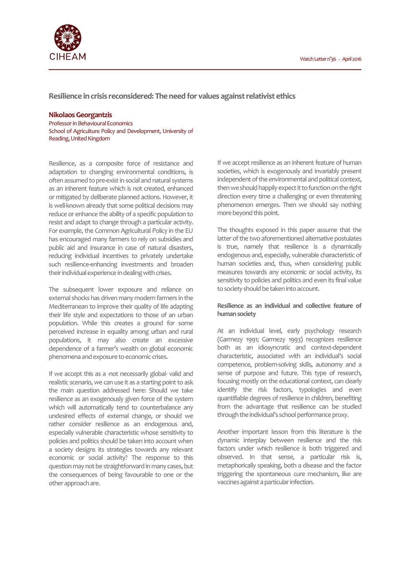

**Resilience in crisis reconsidered: The need for values against relativist ethics**

## **Nikolaos Georgantzis**

Professor in Behavioural Economics School of Agriculture Policy and Development, University of Reading, United Kingdom

Resilience, as a composite force of resistance and adaptation to changing environmental conditions, is often assumed to pre-exist in social and natural systems as an inherent feature which is not created, enhanced or mitigated by deliberate planned actions. However, it is well-known already that some political decisions may reduce or enhance the ability of a specific population to resist and adapt to change through a particular activity. For example, the Common Agricultural Policy in the EU has encouraged many farmers to rely on subsidies and public aid and insurance in case of natural disasters, reducing individual incentives to privately undertake such resilience-enhancing investments and broaden their individual experience in dealing with crises.

The subsequent lower exposure and reliance on external shocks has driven many modern farmers in the Mediterranean to improve their quality of life adapting their life style and expectations to those of an urban population. While this creates a ground for some perceived increase in equality among urban and rural populations, it may also create an excessive dependence of a farmer's wealth on global economic phenomena and exposure to economic crises.

If we accept this as a -not necessarily global- valid and realistic scenario, we can use it as a starting point to ask the main question addressed here: Should we take resilience as an exogenously given force of the system which will automatically tend to counterbalance any undesired effects of external change, or should we rather consider resilience as an endogenous and, especially vulnerable characteristic whose sensitivity to policies and politics should be taken into account when a society designs its strategies towards any relevant economic or social activity? The response to this question may not be straightforward in many cases, but the consequences of being favourable to one or the other approach are.

If we accept resilience as an inherent feature of human societies, which is exogenously and invariably present independent of the environmental and political context, then we should happily expect it to function on the right direction every time a challenging or even threatening phenomenon emerges. Then we should say nothing more beyond this point.

The thoughts exposed in this paper assume that the latter of the two aforementioned alternative postulates is true, namely that resilience is a dynamically endogenous and, especially, vulnerable characteristic of human societies and, thus, when considering public measures towards any economic or social activity, its sensitivity to policies and politics and even its final value to society should be taken into account.

# **Resilience as an individual and collective feature of human society**

At an individual level, early psychology research (Garmezy 1991; Garmezy 1993) recognizes resilience both as an idiosyncratic and context-dependent characteristic, associated with an individual's social competence, problem-solving skills, autonomy and a sense of purpose and future. This type of research, focusing mostly on the educational context, can clearly identify the risk factors, typologies and even quantifiable degrees of resilience in children, benefiting from the advantage that resilience can be studied through the individual's school performance proxy.

Another important lesson from this literature is the dynamic interplay between resilience and the risk factors under which resilience is both triggered and observed. In that sense, a particular risk is, metaphorically speaking, both a disease and the factor triggering the spontaneous cure mechanism, like are vaccines against a particular infection.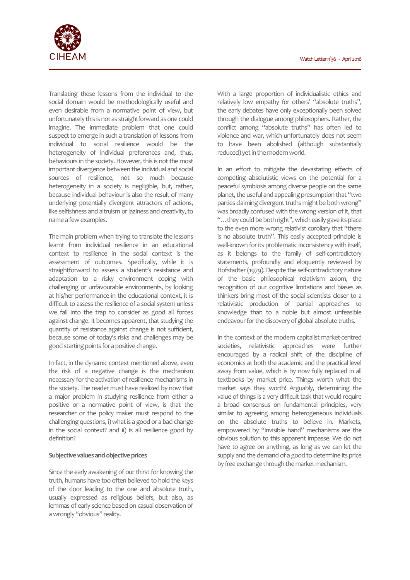

Translating these lessons from the individual to the social domain would be methodologically useful and even desirable from a normative point of view, but unfortunately this is not as straightforward as one could imagine. The immediate problem that one could suspect to emerge in such a translation of lessons from individual to social resilience would be the heterogeneity of individual preferences and, thus, behaviours in the society. However, this is not the most important divergence between the individual and social sources of resilience, not so much because heterogeneity in a society is negligible, but, rather, because individual behaviour is also the result of many underlying potentially divergent attractors of actions, like selfishness and altruism or laziness and creativity, to name a few examples.

The main problem when trying to translate the lessons learnt from individual resilience in an educational context to resilience in the social context is the assessment of outcomes. Specifically, while it is straightforward to assess a student's resistance and adaptation to a risky environment coping with challenging or unfavourable environments, by looking at his/her performance in the educational context, it is difficult to assess the resilience of a social system unless we fall into the trap to consider as good all forces against change. It becomes apparent, that studying the quantity of resistance against change is not sufficient, because some of today's risks and challenges may be good starting points for a positive change.

In fact, in the dynamic context mentioned above, even the risk of a negative change is the mechanism necessary for the activation of resilience mechanisms in the society. The reader must have realized by now that a major problem in studying resilience from either a positive or a normative point of view, is that the researcher or the policy maker must respond to the challenging questions, i) what is a good or a bad change in the social context? and ii) is all resilience good by definition?

## **Subjective values and objective prices**

Since the early awakening of our thirst for knowing the truth, humans have too often believed to hold the keys of the door leading to the one and absolute truth, usually expressed as religious beliefs, but also, as lemmas of early science based on casual observation of a wrongly "obvious" reality.

With a large proportion of individualistic ethics and relatively low empathy for others' "absolute truths", the early debates have only exceptionally been solved through the dialogue among philosophers. Rather, the conflict among "absolute truths" has often led to violence and war, which unfortunately does not seem to have been abolished (although substantially reduced) yet in the modern world.

In an effort to mitigate the devastating effects of competing absolutistic views on the potential for a peaceful symbiosis among diverse people on the same planet, the useful and appealing presumption that "two parties claiming divergent truths might be both wrong" was broadly confused with the wrong version of it, that "... they could be both right", which easily gave its place to the even more wrong relativist corollary that "there is no absolute truth". This easily accepted principle is well-known for its problematic inconsistency with itself, as it belongs to the family of self-contradictory statements, profoundly and eloquently reviewed by Hofstadter (1979). Despite the self-contradictory nature of the basic philosophical relativism axiom, the recognition of our cognitive limitations and biases as thinkers bring most of the social scientists closer to a relativistic production of partial approaches to knowledge than to a noble but almost unfeasible endeavour for the discovery of global absolute truths.

In the context of the modern capitalist market-centred societies, relativistic approaches were further encouraged by a radical shift of the discipline of economics at both the academic and the practical level away from value, which is by now fully replaced in all textbooks by market price. Things worth what the market says they worth! Arguably, determining the value of things is a very difficult task that would require a broad consensus on fundamental principles, very similar to agreeing among heterogeneous individuals on the absolute truths to believe in. Markets, empowered by "invisible hand" mechanisms are the obvious solution to this apparent impasse. We do not have to agree on anything, as long as we can let the supply and the demand of a good to determine its price by free exchange through the market mechanism.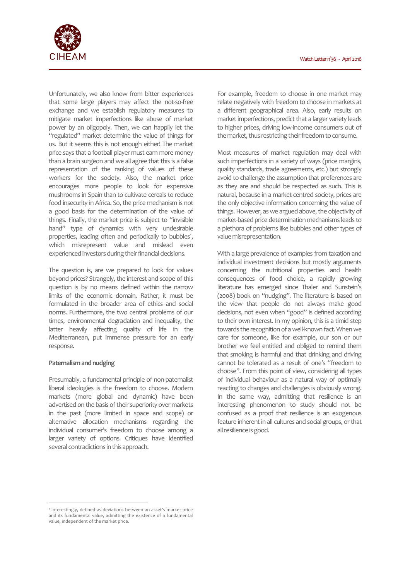

Unfortunately, we also know from bitter experiences that some large players may affect the not-so-free exchange and we establish regulatory measures to mitigate market imperfections like abuse of market power by an oligopoly. Then, we can happily let the "regulated" market determine the value of things for us. But it seems this is not enough either! The market price says that a football player must earn more money than a brain surgeon and we all agree that this is a false representation of the ranking of values of these workers for the society. Also, the market price encourages more people to look for expensive mushrooms in Spain than to cultivate cereals to reduce food insecurity in Africa. So, the price mechanism is not a good basis for the determination of the value of things. Finally, the market price is subject to "invisible hand" type of dynamics with very undesirable properties, leading often and periodically to bubbles<sup>1</sup>, which misrepresent value and mislead even experienced investors during their financial decisions.

The question is, are we prepared to look for values beyond prices? Strangely, the interest and scope of this question is by no means defined within the narrow limits of the economic domain. Rather, it must be formulated in the broader area of ethics and social norms. Furthermore, the two central problems of our times, environmental degradation and inequality, the latter heavily affecting quality of life in the Mediterranean, put immense pressure for an early response.

# **Paternalism and nudging**

l

Presumably, a fundamental principle of non-paternalist liberal ideologies is the freedom to choose. Modern markets (more global and dynamic) have been advertised on the basis of their superiority over markets in the past (more limited in space and scope) or alternative allocation mechanisms regarding the individual consumer's freedom to choose among a larger variety of options. Critiques have identified several contradictions in this approach.

For example, freedom to choose in one market may relate negatively with freedom to choose in markets at a different geographical area. Also, early results on market imperfections, predict that a larger variety leads to higher prices, driving low-income consumers out of the market, thus restricting their freedom to consume.

Most measures of market regulation may deal with such imperfections in a variety of ways (price margins, quality standards, trade agreements, etc.) but strongly avoid to challenge the assumption that preferences are as they are and should be respected as such. This is natural, because in a market-centred society, prices are the only objective information concerning the value of things. However, as we argued above, the objectivity of market-based price determination mechanisms leads to a plethora of problems like bubbles and other types of value misrepresentation.

With a large prevalence of examples from taxation and individual investment decisions but mostly arguments concerning the nutritional properties and health consequences of food choice, a rapidly growing literature has emerged since Thaler and Sunstein's (2008) book on "nudging". The literature is based on the view that people do not always make good decisions, not even when "good" is defined according to their own interest. In my opinion, this is a timid step towards the recognition of a well-known fact. When we care for someone, like for example, our son or our brother we feel entitled and obliged to remind them that smoking is harmful and that drinking and driving cannot be tolerated as a result of one's "freedom to choose". From this point of view, considering all types of individual behaviour as a natural way of optimally reacting to changes and challenges is obviously wrong. In the same way, admitting that resilience is an interesting phenomenon to study should not be confused as a proof that resilience is an exogenous feature inherent in all cultures and social groups, or that all resilience is good.

<sup>&</sup>lt;sup>1</sup> Interestingly, defined as deviations between an asset's market price and its fundamental value, admitting the existence of a fundamental value, independent of the market price.